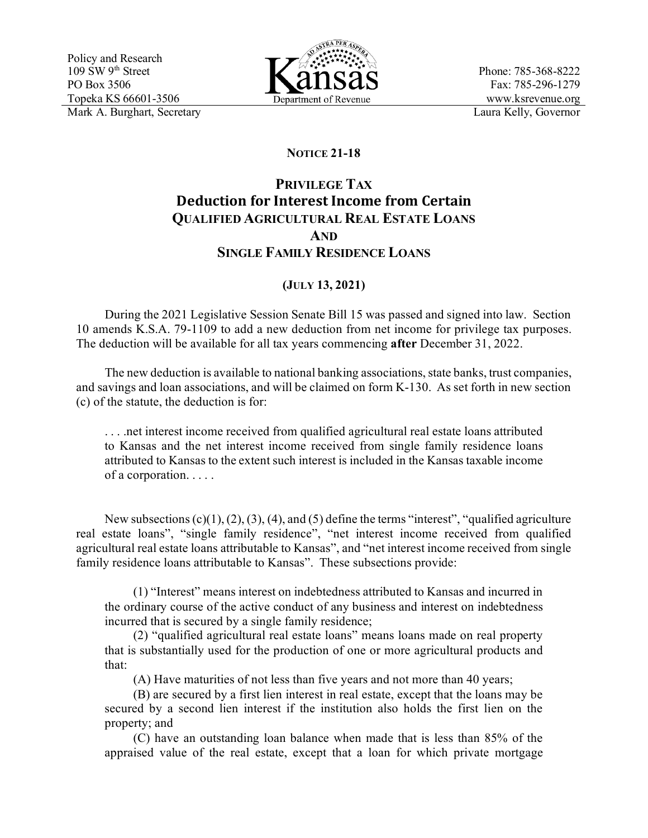

Phone: 785-368-8222 Fax: 785-296-1279 www.ksrevenue.org

## **NOTICE 21-18**

## **PRIVILEGE TAX Deduction for Interest Income from Certain QUALIFIED AGRICULTURAL REAL ESTATE LOANS AND SINGLE FAMILY RESIDENCE LOANS**

## **(JULY 13, 2021)**

During the 2021 Legislative Session Senate Bill 15 was passed and signed into law. Section 10 amends K.S.A. 79-1109 to add a new deduction from net income for privilege tax purposes. The deduction will be available for all tax years commencing **after** December 31, 2022.

The new deduction is available to national banking associations, state banks, trust companies, and savings and loan associations, and will be claimed on form K-130. As set forth in new section (c) of the statute, the deduction is for:

. . . .net interest income received from qualified agricultural real estate loans attributed to Kansas and the net interest income received from single family residence loans attributed to Kansas to the extent such interest is included in the Kansas taxable income of a corporation. . . . .

New subsections (c)(1), (2), (3), (4), and (5) define the terms "interest", "qualified agriculture real estate loans", "single family residence", "net interest income received from qualified agricultural real estate loans attributable to Kansas", and "net interest income received from single family residence loans attributable to Kansas". These subsections provide:

(1) "Interest" means interest on indebtedness attributed to Kansas and incurred in the ordinary course of the active conduct of any business and interest on indebtedness incurred that is secured by a single family residence;

(2) "qualified agricultural real estate loans" means loans made on real property that is substantially used for the production of one or more agricultural products and that:

(A) Have maturities of not less than five years and not more than 40 years;

(B) are secured by a first lien interest in real estate, except that the loans may be secured by a second lien interest if the institution also holds the first lien on the property; and

(C) have an outstanding loan balance when made that is less than 85% of the appraised value of the real estate, except that a loan for which private mortgage